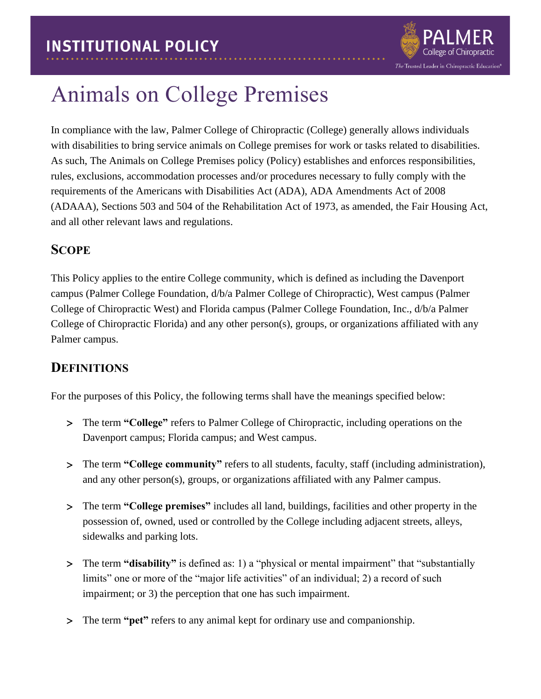

# Animals on College Premises

In compliance with the law, Palmer College of Chiropractic (College) generally allows individuals with disabilities to bring service animals on College premises for work or tasks related to disabilities. As such, The Animals on College Premises policy (Policy) establishes and enforces responsibilities, rules, exclusions, accommodation processes and/or procedures necessary to fully comply with the requirements of the Americans with Disabilities Act (ADA), ADA Amendments Act of 2008 (ADAAA), Sections 503 and 504 of the Rehabilitation Act of 1973, as amended, the Fair Housing Act, and all other relevant laws and regulations.

# **SCOPE**

This Policy applies to the entire College community, which is defined as including the Davenport campus (Palmer College Foundation, d/b/a Palmer College of Chiropractic), West campus (Palmer College of Chiropractic West) and Florida campus (Palmer College Foundation, Inc., d/b/a Palmer College of Chiropractic Florida) and any other person(s), groups, or organizations affiliated with any Palmer campus.

# **DEFINITIONS**

For the purposes of this Policy, the following terms shall have the meanings specified below:

- The term **"College"** refers to Palmer College of Chiropractic, including operations on the Davenport campus; Florida campus; and West campus.
- The term **"College community"** refers to all students, faculty, staff (including administration), and any other person(s), groups, or organizations affiliated with any Palmer campus.
- The term **"College premises"** includes all land, buildings, facilities and other property in the possession of, owned, used or controlled by the College including adjacent streets, alleys, sidewalks and parking lots.
- The term **"disability"** is defined as: 1) a "physical or mental impairment" that "substantially limits" one or more of the "major life activities" of an individual; 2) a record of such impairment; or 3) the perception that one has such impairment.
- The term **"pet"** refers to any animal kept for ordinary use and companionship.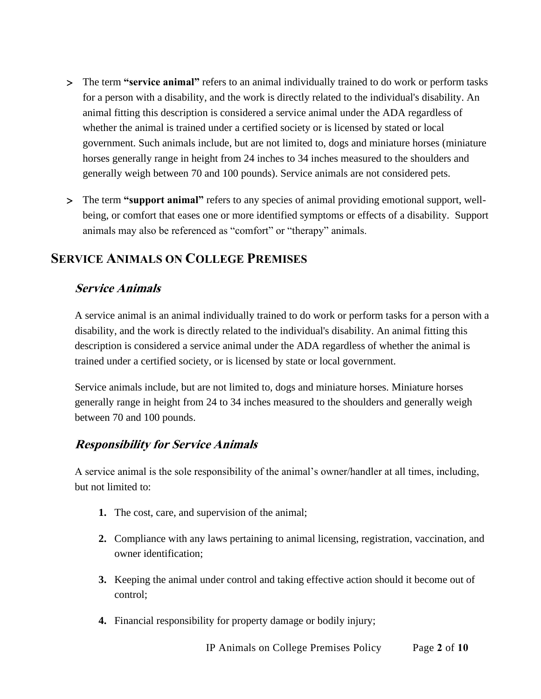- The term **"service animal"** refers to an animal individually trained to do work or perform tasks for a person with a disability, and the work is directly related to the individual's disability. An animal fitting this description is considered a service animal under the ADA regardless of whether the animal is trained under a certified society or is licensed by stated or local government. Such animals include, but are not limited to, dogs and miniature horses (miniature horses generally range in height from 24 inches to 34 inches measured to the shoulders and generally weigh between 70 and 100 pounds). Service animals are not considered pets.
- The term **"support animal"** refers to any species of animal providing emotional support, wellbeing, or comfort that eases one or more identified symptoms or effects of a disability. Support animals may also be referenced as "comfort" or "therapy" animals.

# **SERVICE ANIMALS ON COLLEGE PREMISES**

#### **Service Animals**

A service animal is an animal individually trained to do work or perform tasks for a person with a disability, and the work is directly related to the individual's disability. An animal fitting this description is considered a service animal under the ADA regardless of whether the animal is trained under a certified society, or is licensed by state or local government.

Service animals include, but are not limited to, dogs and miniature horses. Miniature horses generally range in height from 24 to 34 inches measured to the shoulders and generally weigh between 70 and 100 pounds.

#### **Responsibility for Service Animals**

A service animal is the sole responsibility of the animal's owner/handler at all times, including, but not limited to:

- **1.** The cost, care, and supervision of the animal;
- **2.** Compliance with any laws pertaining to animal licensing, registration, vaccination, and owner identification;
- **3.** Keeping the animal under control and taking effective action should it become out of control;
- **4.** Financial responsibility for property damage or bodily injury;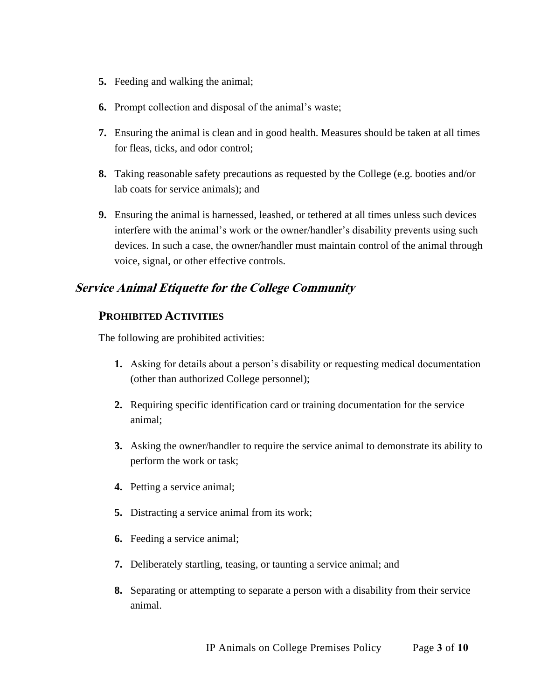- **5.** Feeding and walking the animal;
- **6.** Prompt collection and disposal of the animal's waste;
- **7.** Ensuring the animal is clean and in good health. Measures should be taken at all times for fleas, ticks, and odor control;
- **8.** Taking reasonable safety precautions as requested by the College (e.g. booties and/or lab coats for service animals); and
- **9.** Ensuring the animal is harnessed, leashed, or tethered at all times unless such devices interfere with the animal's work or the owner/handler's disability prevents using such devices. In such a case, the owner/handler must maintain control of the animal through voice, signal, or other effective controls.

#### **Service Animal Etiquette for the College Community**

#### **PROHIBITED ACTIVITIES**

The following are prohibited activities:

- **1.** Asking for details about a person's disability or requesting medical documentation (other than authorized College personnel);
- **2.** Requiring specific identification card or training documentation for the service animal;
- **3.** Asking the owner/handler to require the service animal to demonstrate its ability to perform the work or task;
- **4.** Petting a service animal;
- **5.** Distracting a service animal from its work;
- **6.** Feeding a service animal;
- **7.** Deliberately startling, teasing, or taunting a service animal; and
- **8.** Separating or attempting to separate a person with a disability from their service animal.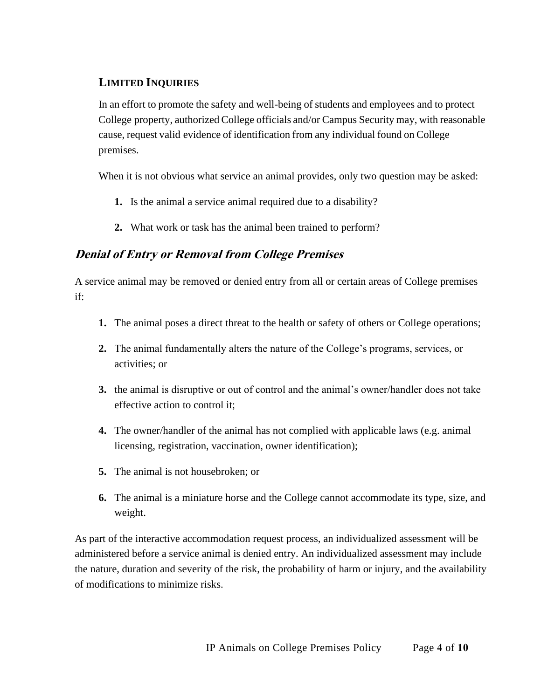#### **LIMITED INQUIRIES**

In an effort to promote the safety and well-being of students and employees and to protect College property, authorized College officials and/or Campus Security may, with reasonable cause, request valid evidence of identification from any individual found on College premises.

When it is not obvious what service an animal provides, only two question may be asked:

- **1.** Is the animal a service animal required due to a disability?
- **2.** What work or task has the animal been trained to perform?

#### **Denial of Entry or Removal from College Premises**

A service animal may be removed or denied entry from all or certain areas of College premises if:

- **1.** The animal poses a direct threat to the health or safety of others or College operations;
- **2.** The animal fundamentally alters the nature of the College's programs, services, or activities; or
- **3.** the animal is disruptive or out of control and the animal's owner/handler does not take effective action to control it;
- **4.** The owner/handler of the animal has not complied with applicable laws (e.g. animal licensing, registration, vaccination, owner identification);
- **5.** The animal is not housebroken; or
- **6.** The animal is a miniature horse and the College cannot accommodate its type, size, and weight.

As part of the interactive accommodation request process, an individualized assessment will be administered before a service animal is denied entry. An individualized assessment may include the nature, duration and severity of the risk, the probability of harm or injury, and the availability of modifications to minimize risks.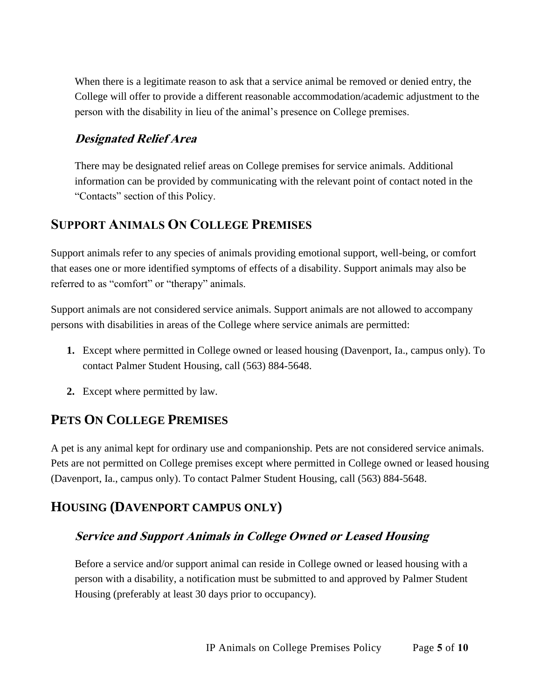When there is a legitimate reason to ask that a service animal be removed or denied entry, the College will offer to provide a different reasonable accommodation/academic adjustment to the person with the disability in lieu of the animal's presence on College premises.

#### **Designated Relief Area**

There may be designated relief areas on College premises for service animals. Additional information can be provided by communicating with the relevant point of contact noted in the "Contacts" section of this Policy.

### **SUPPORT ANIMALS ON COLLEGE PREMISES**

Support animals refer to any species of animals providing emotional support, well-being, or comfort that eases one or more identified symptoms of effects of a disability. Support animals may also be referred to as "comfort" or "therapy" animals.

Support animals are not considered service animals. Support animals are not allowed to accompany persons with disabilities in areas of the College where service animals are permitted:

- **1.** Except where permitted in College owned or leased housing (Davenport, Ia., campus only). To contact Palmer Student Housing, call (563) 884-5648.
- **2.** Except where permitted by law.

# **PETS ON COLLEGE PREMISES**

A pet is any animal kept for ordinary use and companionship. Pets are not considered service animals. Pets are not permitted on College premises except where permitted in College owned or leased housing (Davenport, Ia., campus only). To contact Palmer Student Housing, call (563) 884-5648.

# **HOUSING (DAVENPORT CAMPUS ONLY)**

#### **Service and Support Animals in College Owned or Leased Housing**

Before a service and/or support animal can reside in College owned or leased housing with a person with a disability, a notification must be submitted to and approved by Palmer Student Housing (preferably at least 30 days prior to occupancy).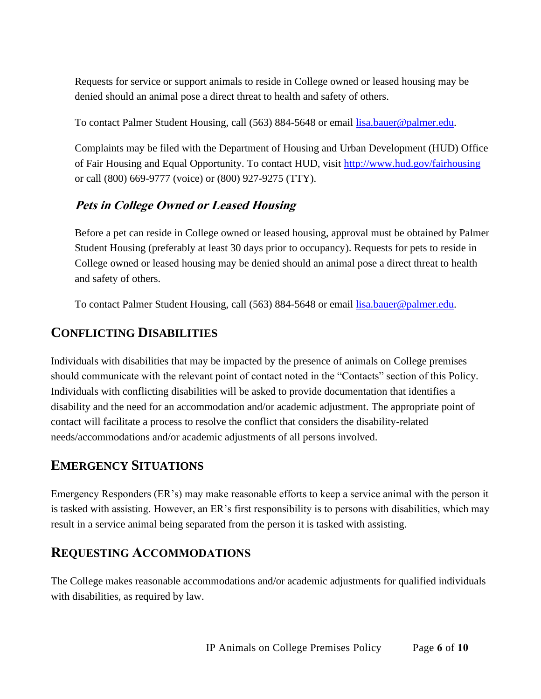Requests for service or support animals to reside in College owned or leased housing may be denied should an animal pose a direct threat to health and safety of others.

To contact Palmer Student Housing, call (563) 884-5648 or email [lisa.bauer@palmer.](mailto:lisa.bauer@palmer)edu.

Complaints may be filed with the Department of Housing and Urban Development (HUD) Office of Fair Housing and Equal Opportunity. To contact HUD, visit<http://www.hud.gov/fairhousing> or call (800) 669-9777 (voice) or (800) 927-9275 (TTY).

### **Pets in College Owned or Leased Housing**

Before a pet can reside in College owned or leased housing, approval must be obtained by Palmer Student Housing (preferably at least 30 days prior to occupancy). Requests for pets to reside in College owned or leased housing may be denied should an animal pose a direct threat to health and safety of others.

To contact Palmer Student Housing, call (563) 884-5648 or email [lisa.bauer@palmer.](mailto:lisa.bauer@palmer)edu.

# **CONFLICTING DISABILITIES**

Individuals with disabilities that may be impacted by the presence of animals on College premises should communicate with the relevant point of contact noted in the "Contacts" section of this Policy. Individuals with conflicting disabilities will be asked to provide documentation that identifies a disability and the need for an accommodation and/or academic adjustment. The appropriate point of contact will facilitate a process to resolve the conflict that considers the disability-related needs/accommodations and/or academic adjustments of all persons involved.

# **EMERGENCY SITUATIONS**

Emergency Responders (ER's) may make reasonable efforts to keep a service animal with the person it is tasked with assisting. However, an ER's first responsibility is to persons with disabilities, which may result in a service animal being separated from the person it is tasked with assisting.

# **REQUESTING ACCOMMODATIONS**

The College makes reasonable accommodations and/or academic adjustments for qualified individuals with disabilities, as required by law.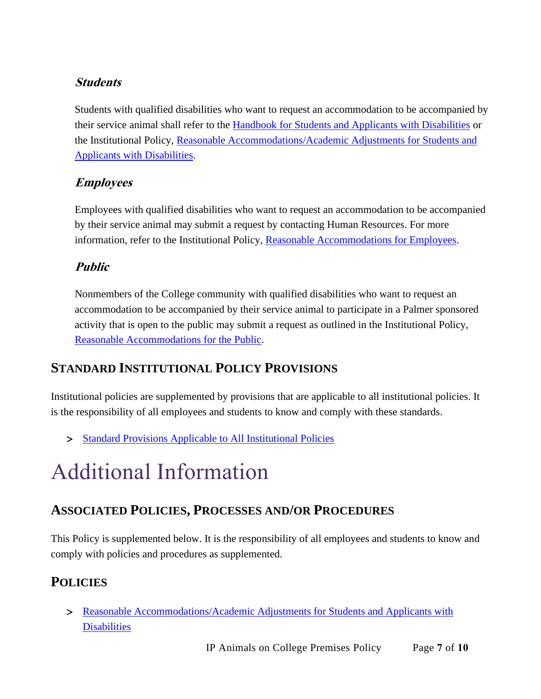#### **Students**

Students with qualified disabilities who want to request an accommodation to be accompanied by their service animal shall refer to the [Handbook for Students and Applicants with Disabilities](http://www.palmer.edu/uploadedFiles/Pages/Students/Academic_Success/Handbook-for-Students-and-Applicants-with-Disabilities.pdf) or the Institutional Policy, [Reasonable Accommodations/Academic Adjustments for Students and](http://www.palmer.edu/uploadedFiles/Pages/Students/Resources_and_Offices/Handbook_and_Policies/_pdf/IP-ReasonableAccommodations-AcademicAdjustmentsforStudents.pdf)  [Applicants with Disabilities.](http://www.palmer.edu/uploadedFiles/Pages/Students/Resources_and_Offices/Handbook_and_Policies/_pdf/IP-ReasonableAccommodations-AcademicAdjustmentsforStudents.pdf)

#### **Employees**

Employees with qualified disabilities who want to request an accommodation to be accompanied by their service animal may submit a request by contacting Human Resources. For more information, refer to the Institutional Policy, [Reasonable Accommodations for Employees.](http://www.palmer.edu/uploadedFiles/Pages/Students/Resources_and_Offices/Handbook_and_Policies/_pdf/IP-ReasonableAccommodationsforEmployees.pdf)

# **Public**

Nonmembers of the College community with qualified disabilities who want to request an accommodation to be accompanied by their service animal to participate in a Palmer sponsored activity that is open to the public may submit a request as outlined in the Institutional Policy, [Reasonable Accommodations for the Public.](http://www.palmer.edu/uploadedFiles/Pages/Students/Resources_and_Offices/Handbook_and_Policies/_pdf/IP-Reasonable-Accommodations-for-the-Public.pdf)

# **STANDARD INSTITUTIONAL POLICY PROVISIONS**

Institutional policies are supplemented by provisions that are applicable to all institutional policies. It is the responsibility of all employees and students to know and comply with these standards.

> [Standard Provisions Applicable to All Institutional Policies](http://www.palmer.edu/uploadedFiles/Pages/Students/Resources_and_Offices/Handbook_and_Policies/_pdf/Standard-Provisions-Applicable-to-All-Institutional-Policies.pdf)

# Additional Information

# **ASSOCIATED POLICIES, PROCESSES AND/OR PROCEDURES**

This Policy is supplemented below. It is the responsibility of all employees and students to know and comply with policies and procedures as supplemented.

# **POLICIES**

 [Reasonable Accommodations/Academic Adjustments for Students and Applicants with](http://www.palmer.edu/uploadedFiles/Pages/Students/Resources_and_Offices/Handbook_and_Policies/_pdf/IP-ReasonableAccommodations-AcademicAdjustmentsforStudents.pdf) **[Disabilities](http://www.palmer.edu/uploadedFiles/Pages/Students/Resources_and_Offices/Handbook_and_Policies/_pdf/IP-ReasonableAccommodations-AcademicAdjustmentsforStudents.pdf)**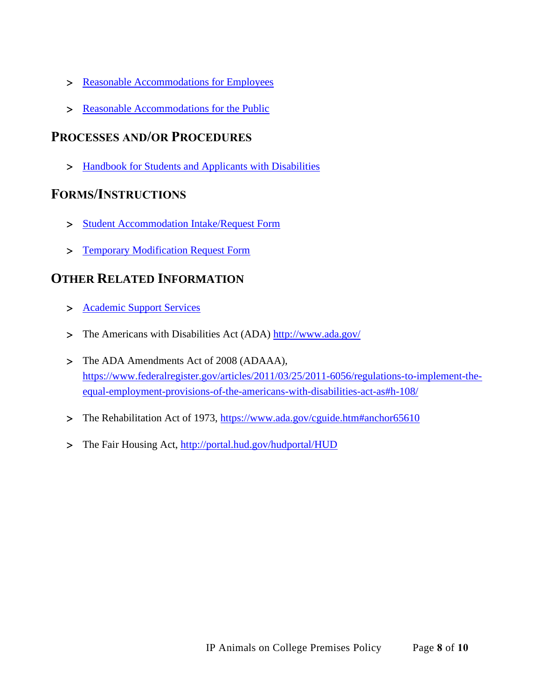- > [Reasonable Accommodations for Employees](http://www.palmer.edu/uploadedFiles/Pages/Students/Resources_and_Offices/Handbook_and_Policies/_pdf/IP-ReasonableAccommodationsforEmployees.pdf)
- [Reasonable Accommodations for the Public](http://www.palmer.edu/uploadedFiles/Pages/Students/Resources_and_Offices/Handbook_and_Policies/_pdf/IP-Reasonable-Accommodations-for-the-Public.pdf)

#### **PROCESSES AND/OR PROCEDURES**

> [Handbook for Students and Applicants with Disabilities](http://www.palmer.edu/uploadedFiles/Pages/Students/Academic_Success/Handbook-for-Students-and-Applicants-with-Disabilities.pdf)

#### **FORMS/INSTRUCTIONS**

- [Student Accommodation Intake/Request Form](http://www.palmer.edu/uploadedFiles/Pages/Students/Academic_Success/Final%20Accomodation%20Request%20Form%2010-4-2013.pdf)
- [Temporary Modification Request Form](http://www.palmer.edu/uploadedFiles/Pages/Students/Academic_Success/Intake%20Temporary%20Adjustment%20Request%20Form%20Master%20Template%20Revised%20April%202015.pdf)

# **OTHER RELATED INFORMATION**

- > [Academic Support Services](http://www.palmer.edu/students/academic-success/support-services/)
- The Americans with Disabilities Act (ADA)<http://www.ada.gov/>
- > The ADA Amendments Act of 2008 (ADAAA), [https://www.federalregister.gov/articles/2011/03/25/2011-6056/regulations-to-implement-the](https://www.federalregister.gov/articles/2011/03/25/2011-6056/regulations-to-implement-the-equal-employment-provisions-of-the-americans-with-disabilities-act-as#h-108/)[equal-employment-provisions-of-the-americans-with-disabilities-act-as#h-108/](https://www.federalregister.gov/articles/2011/03/25/2011-6056/regulations-to-implement-the-equal-employment-provisions-of-the-americans-with-disabilities-act-as#h-108/)
- > The Rehabilitation Act of 1973,<https://www.ada.gov/cguide.htm#anchor65610>
- > The Fair Housing Act,<http://portal.hud.gov/hudportal/HUD>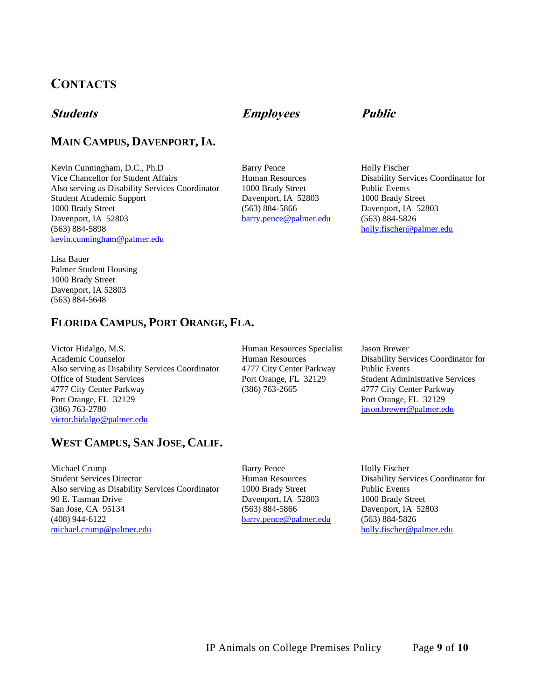# **CONTACTS**

#### **MAIN CAMPUS, DAVENPORT,IA.**

Kevin Cunningham, D.C., Ph.D Barry Pence Holly Fischer Vice Chancellor for Student Affairs **Human Resources** Disability Services Coordinator for Also serving as Disability Services Coordinator 1000 Brady Street Public Events Student Academic Support **Davenport, IA 52803** 1000 Brady Street 1000 Brady Street (563) 884-5866 Davenport, IA 52803 Davenport, IA 52803 [barry.pence@palmer.edu](mailto:barry.pence@palmer.edu) (563) 884-5826 (563) 884-5898 [holly.fischer@palmer.edu](mailto:holly.fischer@palmer.edu) [kevin.cunningham@palmer.edu](mailto:kevin.cunningham@palmer.edu)

Lisa Bauer Palmer Student Housing 1000 Brady Street Davenport, IA 52803 (563) 884-5648

#### **FLORIDA CAMPUS, PORT ORANGE, FLA.**

Victor Hidalgo, M.S. **Human Resources Specialist** Jason Brewer Academic Counselor Human Resources Disability Services Coordinator for Also serving as Disability Services Coordinator 4777 City Center Parkway Public Events Office of Student Services Port Orange, FL 32129 Student Administrative Services 4777 City Center Parkway (386) 763-2665 4777 City Center Parkway Port Orange, FL 32129 Port Orange, FL 32129 (386) 763-2780 [jason.brewer@palmer.edu](mailto:jason.brewer@palmer.edu) [victor.hidalgo@palmer.edu](mailto:victor.hidalgo@palmer.edu)

#### **WEST CAMPUS, SAN JOSE, CALIF.**

Michael Crump **Barry Pence** Holly Fischer Student Services Director Human Resources Disability Services Coordinator for Also serving as Disability Services Coordinator 1000 Brady Street Public Events 90 E. Tasman Drive Davenport, IA 52803 1000 Brady Street San Jose, CA 95134 (563) 884-5866 Davenport, IA 52803 (408) 944-6122 [barry.pence@palmer.edu](mailto:barry.pence@palmer.edu) (563) 884-5826 michael.crump@palmer.edu [holly.fischer@palmer.edu](mailto:holly.fischer@palmer.edu)

# **Students Employees Public**